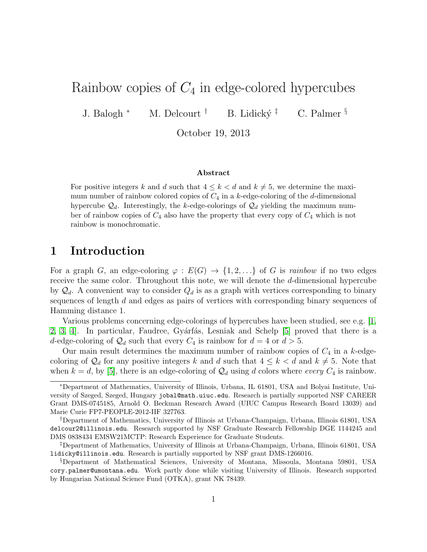# Rainbow copies of  $C_4$  in edge-colored hypercubes

J. Balogh \* M. Delcourt † B. Lidický ‡ C. Palmer §

October 19, 2013

#### Abstract

For positive integers k and d such that  $4 \leq k < d$  and  $k \neq 5$ , we determine the maximum number of rainbow colored copies of  $C_4$  in a k-edge-coloring of the d-dimensional hypercube  $\mathcal{Q}_d$ . Interestingly, the k-edge-colorings of  $\mathcal{Q}_d$  yielding the maximum number of rainbow copies of  $C_4$  also have the property that every copy of  $C_4$  which is not rainbow is monochromatic.

### 1 Introduction

For a graph G, an edge-coloring  $\varphi : E(G) \to \{1, 2, ...\}$  of G is rainbow if no two edges receive the same color. Throughout this note, we will denote the d-dimensional hypercube by  $\mathcal{Q}_d$ . A convenient way to consider  $Q_d$  is as a graph with vertices corresponding to binary sequences of length d and edges as pairs of vertices with corresponding binary sequences of Hamming distance 1.

Various problems concerning edge-colorings of hypercubes have been studied, see e.g. [\[1,](#page-2-0) [2,](#page-3-0) [3,](#page-3-1) 4. In particular, Faudree, Gyárfás, Lesniak and Schelp [\[5\]](#page-3-3) proved that there is a d-edge-coloring of  $\mathcal{Q}_d$  such that every  $C_4$  is rainbow for  $d = 4$  or  $d > 5$ .

Our main result determines the maximum number of rainbow copies of  $C_4$  in a k-edgecoloring of  $\mathcal{Q}_d$  for any positive integers k and d such that  $4 \leq k < d$  and  $k \neq 5$ . Note that when  $k = d$ , by [\[5\]](#page-3-3), there is an edge-coloring of  $\mathcal{Q}_d$  using d colors where every  $C_4$  is rainbow.

<sup>∗</sup>Department of Mathematics, University of Illinois, Urbana, IL 61801, USA and Bolyai Institute, University of Szeged, Szeged, Hungary jobal@math.uiuc.edu. Research is partially supported NSF CAREER Grant DMS-0745185, Arnold O. Beckman Research Award (UIUC Campus Research Board 13039) and Marie Curie FP7-PEOPLE-2012-IIF 327763.

<sup>†</sup>Department of Mathematics, University of Illinois at Urbana-Champaign, Urbana, Illinois 61801, USA delcour2@illinois.edu. Research supported by NSF Graduate Research Fellowship DGE 1144245 and DMS 0838434 EMSW21MCTP: Research Experience for Graduate Students.

<sup>‡</sup>Department of Mathematics, University of Illinois at Urbana-Champaign, Urbana, Illinois 61801, USA lidicky@illinois.edu. Research is partially supported by NSF grant DMS-1266016.

<sup>§</sup>Department of Mathematical Sciences, University of Montana, Missoula, Montana 59801, USA cory.palmer@umontana.edu. Work partly done while visiting University of Illinois. Research supported by Hungarian National Science Fund (OTKA), grant NK 78439.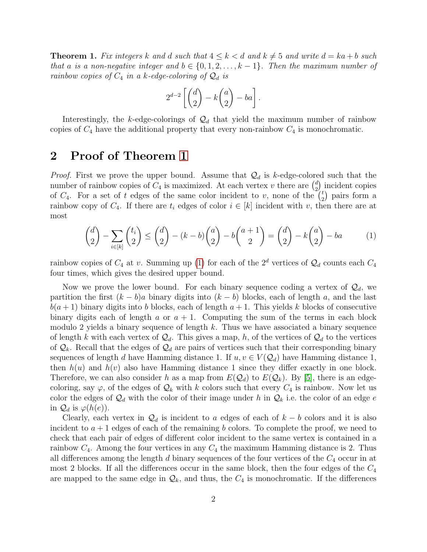<span id="page-1-0"></span>**Theorem 1.** Fix integers k and d such that  $4 \leq k < d$  and  $k \neq 5$  and write  $d = ka + b$  such that a is a non-negative integer and  $b \in \{0, 1, 2, \ldots, k-1\}$ . Then the maximum number of rainbow copies of  $C_4$  in a k-edge-coloring of  $\mathcal{Q}_d$  is

<span id="page-1-1"></span>
$$
2^{d-2}\left[\binom{d}{2}-k\binom{a}{2}-ba\right].
$$

Interestingly, the k-edge-colorings of  $\mathcal{Q}_d$  that yield the maximum number of rainbow copies of  $C_4$  have the additional property that every non-rainbow  $C_4$  is monochromatic.

## 2 Proof of Theorem [1](#page-1-0)

*Proof.* First we prove the upper bound. Assume that  $\mathcal{Q}_d$  is k-edge-colored such that the number of rainbow copies of  $C_4$  is maximized. At each vertex v there are  $\binom{d}{2}$  $\binom{d}{2}$  incident copies of  $C_4$ . For a set of t edges of the same color incident to v, none of the  $\binom{t}{2}$  $t \choose 2$  pairs form a rainbow copy of  $C_4$ . If there are  $t_i$  edges of color  $i \in [k]$  incident with v, then there are at most

$$
\binom{d}{2} - \sum_{i \in [k]} \binom{t_i}{2} \le \binom{d}{2} - (k - b) \binom{a}{2} - b \binom{a+1}{2} = \binom{d}{2} - k \binom{a}{2} - ba \tag{1}
$$

rainbow copies of  $C_4$  at v. Summing up [\(1\)](#page-1-1) for each of the  $2^d$  vertices of  $\mathcal{Q}_d$  counts each  $C_4$ four times, which gives the desired upper bound.

Now we prove the lower bound. For each binary sequence coding a vertex of  $\mathcal{Q}_d$ , we partition the first  $(k - b)a$  binary digits into  $(k - b)$  blocks, each of length a, and the last  $b(a + 1)$  binary digits into b blocks, each of length  $a + 1$ . This yields k blocks of consecutive binary digits each of length a or  $a + 1$ . Computing the sum of the terms in each block modulo 2 yields a binary sequence of length  $k$ . Thus we have associated a binary sequence of length k with each vertex of  $\mathcal{Q}_d$ . This gives a map, h, of the vertices of  $\mathcal{Q}_d$  to the vertices of  $\mathcal{Q}_k$ . Recall that the edges of  $\mathcal{Q}_d$  are pairs of vertices such that their corresponding binary sequences of length d have Hamming distance 1. If  $u, v \in V(Q_d)$  have Hamming distance 1, then  $h(u)$  and  $h(v)$  also have Hamming distance 1 since they differ exactly in one block. Therefore, we can also consider h as a map from  $E(Q_d)$  to  $E(Q_k)$ . By [\[5\]](#page-3-3), there is an edgecoloring, say  $\varphi$ , of the edges of  $\mathcal{Q}_k$  with k colors such that every  $C_4$  is rainbow. Now let us color the edges of  $\mathcal{Q}_d$  with the color of their image under h in  $\mathcal{Q}_k$  i.e. the color of an edge e in  $\mathcal{Q}_d$  is  $\varphi(h(e))$ .

Clearly, each vertex in  $\mathcal{Q}_d$  is incident to a edges of each of  $k - b$  colors and it is also incident to  $a + 1$  edges of each of the remaining b colors. To complete the proof, we need to check that each pair of edges of different color incident to the same vertex is contained in a rainbow  $C_4$ . Among the four vertices in any  $C_4$  the maximum Hamming distance is 2. Thus all differences among the length  $d$  binary sequences of the four vertices of the  $C_4$  occur in at most 2 blocks. If all the differences occur in the same block, then the four edges of the  $C_4$ are mapped to the same edge in  $\mathcal{Q}_k$ , and thus, the  $C_4$  is monochromatic. If the differences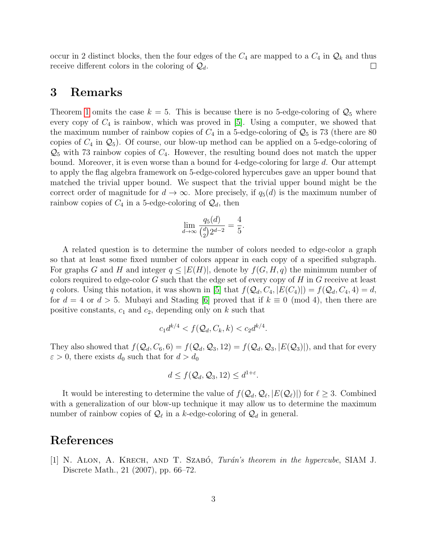occur in 2 distinct blocks, then the four edges of the  $C_4$  are mapped to a  $C_4$  in  $\mathcal{Q}_k$  and thus receive different colors in the coloring of  $\mathcal{Q}_d$ .  $\Box$ 

#### 3 Remarks

Theorem [1](#page-1-0) omits the case  $k = 5$ . This is because there is no 5-edge-coloring of  $\mathcal{Q}_5$  where every copy of  $C_4$  is rainbow, which was proved in [\[5\]](#page-3-3). Using a computer, we showed that the maximum number of rainbow copies of  $C_4$  in a 5-edge-coloring of  $\mathcal{Q}_5$  is 73 (there are 80) copies of  $C_4$  in  $\mathcal{Q}_5$ ). Of course, our blow-up method can be applied on a 5-edge-coloring of  $\mathcal{Q}_5$  with 73 rainbow copies of  $C_4$ . However, the resulting bound does not match the upper bound. Moreover, it is even worse than a bound for 4-edge-coloring for large d. Our attempt to apply the flag algebra framework on 5-edge-colored hypercubes gave an upper bound that matched the trivial upper bound. We suspect that the trivial upper bound might be the correct order of magnitude for  $d \to \infty$ . More precisely, if  $q_5(d)$  is the maximum number of rainbow copies of  $C_4$  in a 5-edge-coloring of  $\mathcal{Q}_d$ , then

$$
\lim_{d \to \infty} \frac{q_5(d)}{\binom{d}{2}2^{d-2}} = \frac{4}{5}.
$$

A related question is to determine the number of colors needed to edge-color a graph so that at least some fixed number of colors appear in each copy of a specified subgraph. For graphs G and H and integer  $q \leq |E(H)|$ , denote by  $f(G, H, q)$  the minimum number of colors required to edge-color  $G$  such that the edge set of every copy of  $H$  in  $G$  receive at least q colors. Using this notation, it was shown in [\[5\]](#page-3-3) that  $f(Q_d, C_4, |E(C_4)|) = f(Q_d, C_4, 4) = d$ , for  $d = 4$  or  $d > 5$ . Mubayi and Stading [\[6\]](#page-3-4) proved that if  $k \equiv 0 \pmod{4}$ , then there are positive constants,  $c_1$  and  $c_2$ , depending only on k such that

$$
c_1 d^{k/4} < f(Q_d, C_k, k) < c_2 d^{k/4}.
$$

They also showed that  $f(Q_d, C_6, 6) = f(Q_d, Q_3, 12) = f(Q_d, Q_3, |E(Q_3)|)$ , and that for every  $\varepsilon > 0$ , there exists  $d_0$  such that for  $d > d_0$ 

$$
d \le f(Q_d, Q_3, 12) \le d^{1+\varepsilon}.
$$

It would be interesting to determine the value of  $f(Q_d, Q_\ell, |E(Q_\ell)|)$  for  $\ell \geq 3$ . Combined with a generalization of our blow-up technique it may allow us to determine the maximum number of rainbow copies of  $\mathcal{Q}_\ell$  in a k-edge-coloring of  $\mathcal{Q}_d$  in general.

#### References

<span id="page-2-0"></span>[1] N. ALON, A. KRECH, AND T. SZABÓ, *Turán's theorem in the hypercube*, SIAM J. Discrete Math., 21 (2007), pp. 66–72.